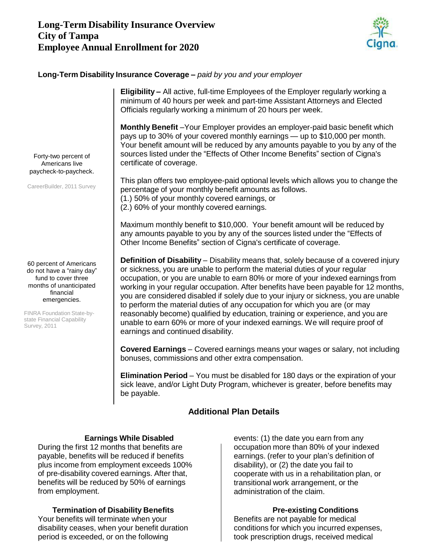# **Long-Term Disability Insurance Overview City of Tampa Employee Annual Enrollment for 2020**



### **Long-Term Disability Insurance Coverage –** *paid by you and your employer*



## **Additional Plan Details**

### **Earnings While Disabled**

During the first 12 months that benefits are payable, benefits will be reduced if benefits plus income from employment exceeds 100% of pre-disability covered earnings. After that, benefits will be reduced by 50% of earnings from employment.

## **Termination of Disability Benefits**

Your benefits will terminate when your disability ceases, when your benefit duration period is exceeded, or on the following

events: (1) the date you earn from any occupation more than 80% of your indexed earnings. (refer to your plan's definition of disability), or (2) the date you fail to cooperate with us in a rehabilitation plan, or transitional work arrangement, or the administration of the claim.

#### **Pre-existing Conditions**

Benefits are not payable for medical conditions for which you incurred expenses, took prescription drugs, received medical